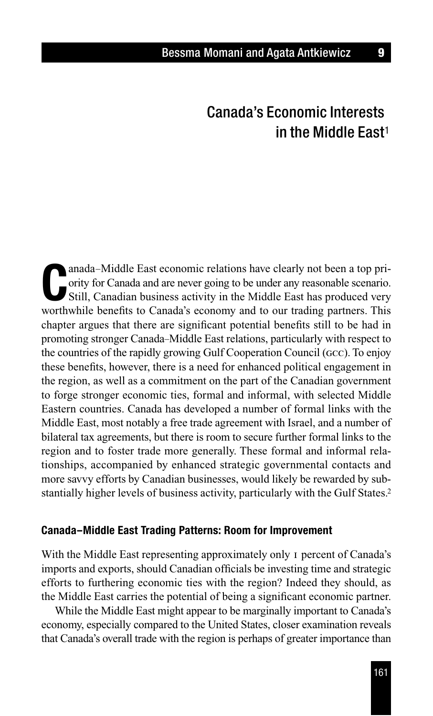# [Canada's Economic Interests](#page-5-0) in the Middle East $1$

anada–Middle East economic relations have clearly not been a top priority for Canada and are never going to be under any reasonable scenario.<br>Still, Canadian business activity in the Middle East has produced very worthwhil anada– Middle East economic relations have clearly not been a top priority for Canada and are never going to be under any reasonable scenario. Still, Canadian business activity in the Middle East has produced very chapter argues that there are significant potential benefits still to be had in promoting stronger Canada–Middle East relations, particularly with respect to the countries of the rapidly growing Gulf Cooperation Council (gcc). To enjoy these benefits, however, there is a need for enhanced political engagement in the region, as well as a commitment on the part of the Canadian government to forge stronger economic ties, formal and informal, with selected Middle Eastern countries. Canada has developed a number of formal links with the Middle East, most notably a free trade agreement with Israel, and a number of bilateral tax agreements, but there is room to secure further formal links to the region and to foster trade more generally. These formal and informal relationships, accompanied by enhanced strategic governmental contacts and more savvy efforts by Canadian businesses, would likely be rewarded by substantially higher levels of business activity, particularly with the Gulf States[.2](#page--1-0)

#### **Canada–Middle East Trading Patterns: Room for Improvement**

With the Middle East representing approximately only 1 percent of Canada's imports and exports, should Canadian officials be investing time and strategic efforts to furthering economic ties with the region? Indeed they should, as the Middle East carries the potential of being a significant economic partner.

While the Middle East might appear to be marginally important to Canada's economy, especially compared to the United States, closer examination reveals that Canada's overall trade with the region is perhaps of greater importance than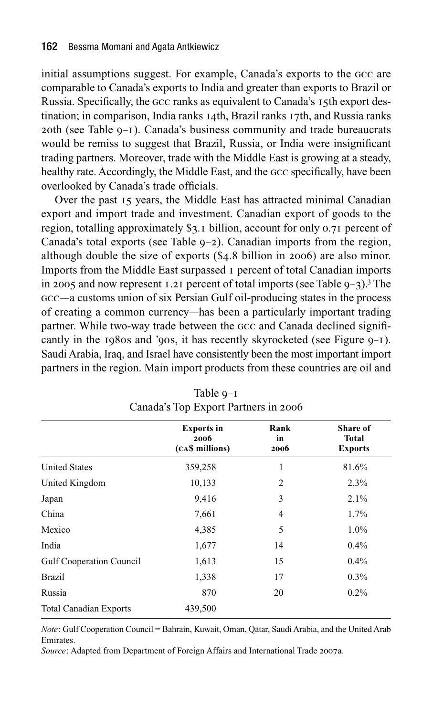initial assumptions suggest. For example, Canada's exports to the gcc are comparable to Canada's exports to India and greater than exports to Brazil or Russia. Specifically, the gcc ranks as equivalent to Canada's 15th export destination; in comparison, India ranks 14th, Brazil ranks 17th, and Russia ranks 20th (see Table  $9-I$ ). Canada's business community and trade bureaucrats would be remiss to suggest that Brazil, Russia, or India were insignificant trading partners. Moreover, trade with the Middle East is growing at a steady, healthy rate. Accordingly, the Middle East, and the gcc specifically, have been overlooked by Canada's trade officials.

Over the past 15 years, the Middle East has attracted minimal Canadian export and import trade and investment. Canadian export of goods to the region, totalling approximately \$3.1 billion, account for only 0.71 percent of Canada's total exports (see Table  $9-2$ ). Canadian imports from the region, although double the size of exports (\$4.8 billion in 2006) are also minor. Imports from the Middle East surpassed 1 percent of total Canadian imports in 2005 and now represent 1.21 percent of total imports (see Table  $9-3$ ).<sup>3</sup> The gcc—a customs union of six Persian Gulf oil-producing states in the process of creating a common currency—has been a particularly important trading partner. While two-way trade between the gcc and Canada declined significantly in the 1980s and '90s, it has recently skyrocketed (see Figure  $9-1$ ). Saudi Arabia, Iraq, and Israel have consistently been the most important import partners in the region. Main import products from these countries are oil and

|                                 | <b>Exports</b> in<br>2006<br>(CA\$ millions) | Rank<br>in<br>2006 | Share of<br><b>Total</b><br><b>Exports</b> |
|---------------------------------|----------------------------------------------|--------------------|--------------------------------------------|
| <b>United States</b>            | 359,258                                      | 1                  | 81.6%                                      |
| United Kingdom                  | 10,133                                       | 2                  | 2.3%                                       |
| Japan                           | 9,416                                        | 3                  | $2.1\%$                                    |
| China                           | 7,661                                        | 4                  | $1.7\%$                                    |
| Mexico                          | 4,385                                        | 5                  | $1.0\%$                                    |
| India                           | 1,677                                        | 14                 | $0.4\%$                                    |
| <b>Gulf Cooperation Council</b> | 1,613                                        | 15                 | $0.4\%$                                    |
| <b>Brazil</b>                   | 1,338                                        | 17                 | $0.3\%$                                    |
| Russia                          | 870                                          | 20                 | $0.2\%$                                    |
| <b>Total Canadian Exports</b>   | 439,500                                      |                    |                                            |

| Table $9-I$                          |
|--------------------------------------|
| Canada's Top Export Partners in 2006 |

*Note*: Gulf Cooperation Council = Bahrain, Kuwait, Oman, Qatar, Saudi Arabia, and the United Arab Emirates.

*Source*: Adapted from Department of Foreign Affairs and International Trade 2007a.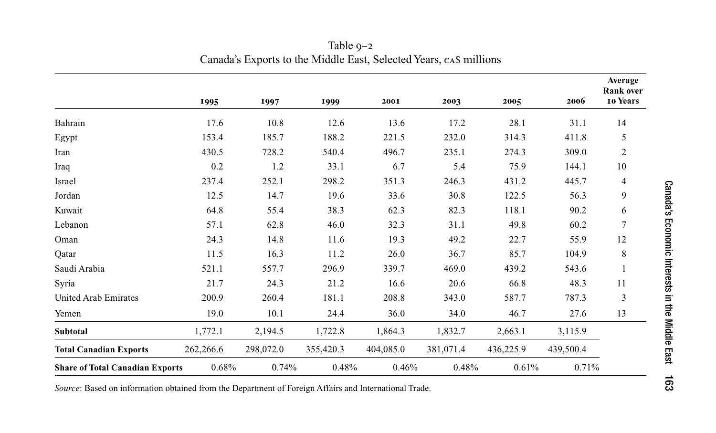|                                        | 1995      | 1997      | 1999      | <b>2001</b> | 2003      | 2005      | 2006      | Average<br><b>Rank over</b><br>10 Years |
|----------------------------------------|-----------|-----------|-----------|-------------|-----------|-----------|-----------|-----------------------------------------|
| Bahrain                                | 17.6      | 10.8      | 12.6      | 13.6        | 17.2      | 28.1      | 31.1      | 14                                      |
| Egypt                                  | 153.4     | 185.7     | 188.2     | 221.5       | 232.0     | 314.3     | 411.8     | 5                                       |
| Iran                                   | 430.5     | 728.2     | 540.4     | 496.7       | 235.1     | 274.3     | 309.0     | $\overline{c}$                          |
| Iraq                                   | 0.2       | 1.2       | 33.1      | 6.7         | 5.4       | 75.9      | 144.1     | 10                                      |
| Israel                                 | 237.4     | 252.1     | 298.2     | 351.3       | 246.3     | 431.2     | 445.7     | 4                                       |
| Jordan                                 | 12.5      | 14.7      | 19.6      | 33.6        | 30.8      | 122.5     | 56.3      | 9                                       |
| Kuwait                                 | 64.8      | 55.4      | 38.3      | 62.3        | 82.3      | 118.1     | 90.2      | 6                                       |
| Lebanon                                | 57.1      | 62.8      | 46.0      | 32.3        | 31.1      | 49.8      | 60.2      | $\overline{7}$                          |
| Oman                                   | 24.3      | 14.8      | 11.6      | 19.3        | 49.2      | 22.7      | 55.9      | 12                                      |
| Qatar                                  | 11.5      | 16.3      | 11.2      | 26.0        | 36.7      | 85.7      | 104.9     | 8                                       |
| Saudi Arabia                           | 521.1     | 557.7     | 296.9     | 339.7       | 469.0     | 439.2     | 543.6     | 1                                       |
| Syria                                  | 21.7      | 24.3      | 21.2      | 16.6        | 20.6      | 66.8      | 48.3      | 11                                      |
| United Arab Emirates                   | 200.9     | 260.4     | 181.1     | 208.8       | 343.0     | 587.7     | 787.3     | $\mathfrak{Z}$                          |
| Yemen                                  | 19.0      | 10.1      | 24.4      | 36.0        | 34.0      | 46.7      | 27.6      | 13                                      |
| Subtotal                               | 1,772.1   | 2,194.5   | 1,722.8   | 1,864.3     | 1,832.7   | 2,663.1   | 3,115.9   |                                         |
| <b>Total Canadian Exports</b>          | 262,266.6 | 298,072.0 | 355,420.3 | 404,085.0   | 381,071.4 | 436,225.9 | 439,500.4 |                                         |
| <b>Share of Total Canadian Exports</b> | $0.68\%$  | 0.74%     | 0.48%     | 0.46%       | 0.48%     | 0.61%     | 0.71%     |                                         |

Table 9–2 Canada's Exports to the Middle East, Selected Years, ca\$ millions

*Source*: Based on information obtained from the Department of Foreign Affairs and International Trade.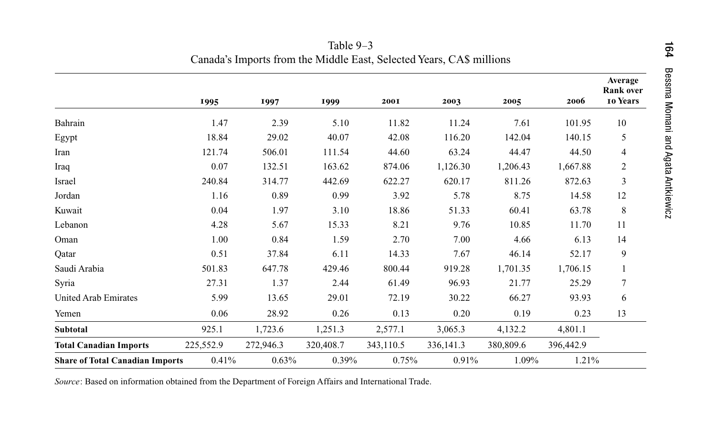| Table 9–3                                                            |           |           |           |             |            |           |           |                                         |  |  |
|----------------------------------------------------------------------|-----------|-----------|-----------|-------------|------------|-----------|-----------|-----------------------------------------|--|--|
| Canada's Imports from the Middle East, Selected Years, CA\$ millions |           |           |           |             |            |           |           |                                         |  |  |
|                                                                      | 1995      | 1997      | 1999      | <b>2001</b> | 2003       | 2005      | 2006      | Average<br><b>Rank over</b><br>10 Years |  |  |
| Bahrain                                                              | 1.47      | 2.39      | 5.10      | 11.82       | 11.24      | 7.61      | 101.95    | 10                                      |  |  |
| Egypt                                                                | 18.84     | 29.02     | 40.07     | 42.08       | 116.20     | 142.04    | 140.15    | 5                                       |  |  |
| Iran                                                                 | 121.74    | 506.01    | 111.54    | 44.60       | 63.24      | 44.47     | 44.50     | 4                                       |  |  |
| Iraq                                                                 | 0.07      | 132.51    | 163.62    | 874.06      | 1,126.30   | 1,206.43  | 1,667.88  | 2                                       |  |  |
| Israel                                                               | 240.84    | 314.77    | 442.69    | 622.27      | 620.17     | 811.26    | 872.63    | 3                                       |  |  |
| Jordan                                                               | 1.16      | 0.89      | 0.99      | 3.92        | 5.78       | 8.75      | 14.58     | 12                                      |  |  |
| Kuwait                                                               | 0.04      | 1.97      | 3.10      | 18.86       | 51.33      | 60.41     | 63.78     | 8                                       |  |  |
| Lebanon                                                              | 4.28      | 5.67      | 15.33     | 8.21        | 9.76       | 10.85     | 11.70     | 11                                      |  |  |
| Oman                                                                 | 1.00      | 0.84      | 1.59      | 2.70        | 7.00       | 4.66      | 6.13      | 14                                      |  |  |
| Qatar                                                                | 0.51      | 37.84     | 6.11      | 14.33       | 7.67       | 46.14     | 52.17     | 9                                       |  |  |
| Saudi Arabia                                                         | 501.83    | 647.78    | 429.46    | 800.44      | 919.28     | 1,701.35  | 1,706.15  |                                         |  |  |
| Syria                                                                | 27.31     | 1.37      | 2.44      | 61.49       | 96.93      | 21.77     | 25.29     |                                         |  |  |
| <b>United Arab Emirates</b>                                          | 5.99      | 13.65     | 29.01     | 72.19       | 30.22      | 66.27     | 93.93     | 6                                       |  |  |
| Yemen                                                                | 0.06      | 28.92     | 0.26      | 0.13        | 0.20       | 0.19      | 0.23      | 13                                      |  |  |
| Subtotal                                                             | 925.1     | 1,723.6   | 1,251.3   | 2,577.1     | 3,065.3    | 4,132.2   | 4,801.1   |                                         |  |  |
| <b>Total Canadian Imports</b>                                        | 225,552.9 | 272,946.3 | 320,408.7 | 343,110.5   | 336, 141.3 | 380,809.6 | 396,442.9 |                                         |  |  |
| <b>Share of Total Canadian Imports</b>                               | 0.41%     | 0.63%     | 0.39%     | 0.75%       | 0.91%      | 1.09%     | 1.21%     |                                         |  |  |

*Source*: Based on information obtained from the Department of Foreign Affairs and International Trade.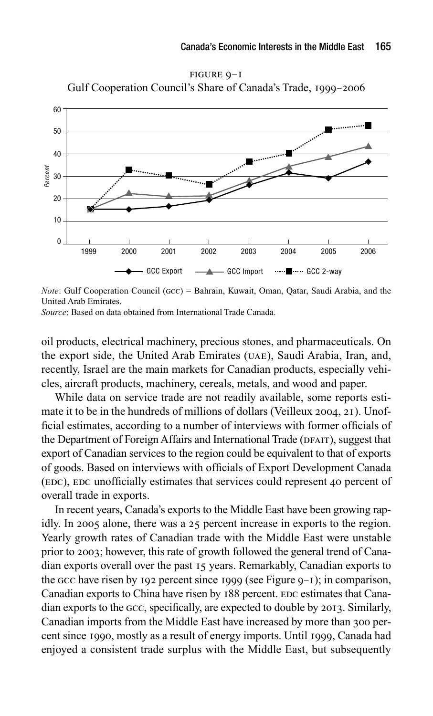

figure 9– 1 Gulf Cooperation Council's Share of Canada's Trade, 1999– 2006

*Note*: Gulf Cooperation Council (GCC) = Bahrain, Kuwait, Oman, Qatar, Saudi Arabia, and the United Arab Emirates.

*Source*: Based on data obtained from International Trade Canada.

oil products, electrical machinery, precious stones, and pharmaceuticals. On the export side, the United Arab Emirates (uae), Saudi Arabia, Iran, and, recently, Israel are the main markets for Canadian products, especially vehicles, aircraft products, machinery, cereals, metals, and wood and paper.

While data on service trade are not readily available, some reports estimate it to be in the hundreds of millions of dollars (Veilleux 2004, 21). Unofficial estimates, according to a number of interviews with former officials of the Department of Foreign Affairs and International Trade (DFAIT), suggest that export of Canadian services to the region could be equivalent to that of exports of goods. Based on interviews with officials of Export Development Canada  $(EDC)$ ,  $EDC$  unofficially estimates that services could represent 40 percent of overall trade in exports.

In recent years, Canada's exports to the Middle East have been growing rapidly. In 2005 alone, there was a 25 percent increase in exports to the region. Yearly growth rates of Canadian trade with the Middle East were unstable prior to 2003; however, this rate of growth followed the general trend of Canadian exports overall over the past 15 years. Remarkably, Canadian exports to the  $\frac{1}{2}$  for the gcc have risen by 192 percent since 1999 (see Figure 9–1); in comparison, Canadian exports to China have risen by 188 percent. EDC estimates that Canadian exports to the gcc, specifically, are expected to double by 2013. Similarly, Canadian imports from the Middle East have increased by more than 300 percent since 1990, mostly as a result of energy imports. Until 1999, Canada had enjoyed a consistent trade surplus with the Middle East, but subsequently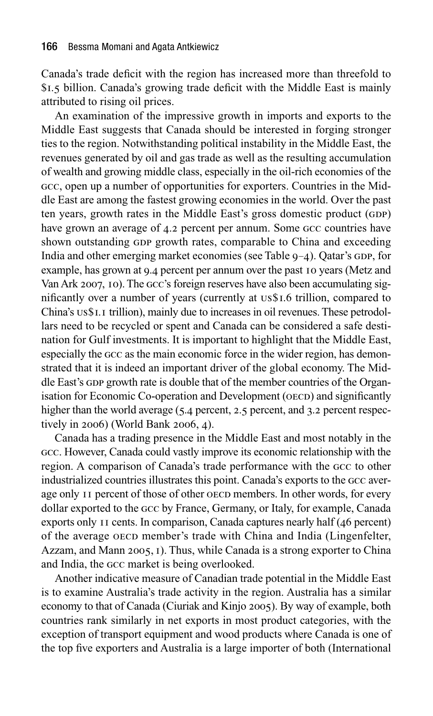<span id="page-5-0"></span>Canada's trade deficit with the region has increased more than threefold to \$1.5 billion. Canada's growing trade deficit with the Middle East is mainly attributed to rising oil prices.

An examination of the impressive growth in imports and exports to the Middle East suggests that Canada should be interested in forging stronger ties to the region. Notwithstanding political instability in the Middle East, the revenues generated by oil and gas trade as well as the resulting accumulation of wealth and growing middle class, especially in the oil-rich economies of the gcc, open up a number of opportunities for exporters. Countries in the Middle East are among the fastest growing economies in the world. Over the past ten years, growth rates in the Middle East's gross domestic product (GDP) have grown an average of 4.2 percent per annum. Some GCC countries have shown outstanding GDP growth rates, comparable to China and exceeding India and other emerging market economies (see Table  $9-4$ ). Qatar's GDP, for example, has grown at 9.4 percent per annum over the past 10 years (Metz and Van Ark 2007, 10). The gcc's foreign reserves have also been accumulating significantly over a number of years (currently at us\$1.6 trillion, compared to China's us\$1.1 trillion), mainly due to increases in oil revenues. These petrodollars need to be recycled or spent and Canada can be considered a safe destination for Gulf investments. It is important to highlight that the Middle East, especially the gcc as the main economic force in the wider region, has demonstrated that it is indeed an important driver of the global economy. The Middle East's GDP growth rate is double that of the member countries of the Organisation for Economic Co-operation and Development (OECD) and significantly higher than the world average (5.4 percent, 2.5 percent, and 3.2 percent respectively in 2006) (World Bank 2006, 4).

Canada has a trading presence in the Middle East and most notably in the gcc. However, Canada could vastly improve its economic relationship with the region. A comparison of Canada's trade performance with the gcc to other industrialized countries illustrates this point. Canada's exports to the gcc average only 11 percent of those of other oeco members. In other words, for every dollar exported to the gcc by France, Germany, or Italy, for example, Canada exports only 11 cents. In comparison, Canada captures nearly half (46 percent) of the average OECD member's trade with China and India (Lingenfelter, Azzam, and Mann 2005,1). Thus, while Canada is a strong exporter to China and India, the gcc market is being overlooked.

Another indicative measure of Canadian trade potential in the Middle East is to examine Australia's trade activity in the region. Australia has a similar economy to that of Canada (Ciuriak and Kinjo 2005). By way of example, both countries rank similarly in net exports in most product categories, with the exception of transport equipment and wood products where Canada is one of the top five exporters and Australia is a large importer of both (International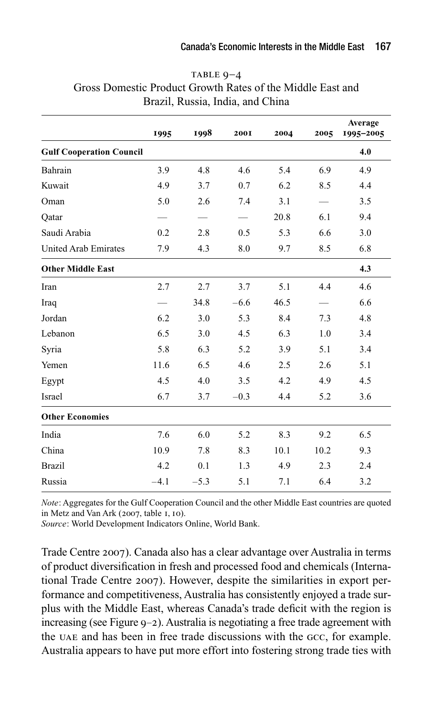|                                 | 1995   | 1998   | <b>2001</b>       | 2004 | 2005 | Average<br>1995-2005 |
|---------------------------------|--------|--------|-------------------|------|------|----------------------|
| <b>Gulf Cooperation Council</b> |        |        |                   |      |      | 4.0                  |
| Bahrain                         | 3.9    | 4.8    | 4.6               | 5.4  | 6.9  | 4.9                  |
| Kuwait                          | 4.9    | 3.7    | 0.7               | 6.2  | 8.5  | 4.4                  |
| Oman                            | 5.0    | 2.6    | 7.4               | 3.1  |      | 3.5                  |
| Qatar                           |        |        | $\qquad \qquad -$ | 20.8 | 6.1  | 9.4                  |
| Saudi Arabia                    | 0.2    | 2.8    | 0.5               | 5.3  | 6.6  | 3.0                  |
| <b>United Arab Emirates</b>     | 7.9    | 4.3    | 8.0               | 9.7  | 8.5  | 6.8                  |
| <b>Other Middle East</b>        |        |        |                   |      |      | 4.3                  |
| Iran                            | 2.7    | 2.7    | 3.7               | 5.1  | 4.4  | 4.6                  |
| Iraq                            |        | 34.8   | $-6.6$            | 46.5 |      | 6.6                  |
| Jordan                          | 6.2    | 3.0    | 5.3               | 8.4  | 7.3  | 4.8                  |
| Lebanon                         | 6.5    | 3.0    | 4.5               | 6.3  | 1.0  | 3.4                  |
| Syria                           | 5.8    | 6.3    | 5.2               | 3.9  | 5.1  | 3.4                  |
| Yemen                           | 11.6   | 6.5    | 4.6               | 2.5  | 2.6  | 5.1                  |
| Egypt                           | 4.5    | 4.0    | 3.5               | 4.2  | 4.9  | 4.5                  |
| Israel                          | 6.7    | 3.7    | $-0.3$            | 4.4  | 5.2  | 3.6                  |
| <b>Other Economies</b>          |        |        |                   |      |      |                      |
| India                           | 7.6    | 6.0    | 5.2               | 8.3  | 9.2  | 6.5                  |
| China                           | 10.9   | 7.8    | 8.3               | 10.1 | 10.2 | 9.3                  |
| <b>Brazil</b>                   | 4.2    | 0.1    | 1.3               | 4.9  | 2.3  | 2.4                  |
| Russia                          | $-4.1$ | $-5.3$ | 5.1               | 7.1  | 6.4  | 3.2                  |

TABLE  $9-4$ Gross Domestic Product Growth Rates of the Middle East and Brazil, Russia, India, and China

*Note*: Aggregates for the Gulf Cooperation Council and the other Middle East countries are quoted in Metz and Van Ark (2007, table 1, 10).

*Source*: World Development Indicators Online, World Bank.

Trade Centre 2007). Canada also has a clear advantage over Australia in terms of product diversification in fresh and processed food and chemicals (International Trade Centre 2007). However, despite the similarities in export performance and competitiveness, Australia has consistently enjoyed a trade surplus with the Middle East, whereas Canada's trade deficit with the region is increasing (see Figure  $9-2$ ). Australia is negotiating a free trade agreement with the uae and has been in free trade discussions with the gcc, for example. Australia appears to have put more effort into fostering strong trade ties with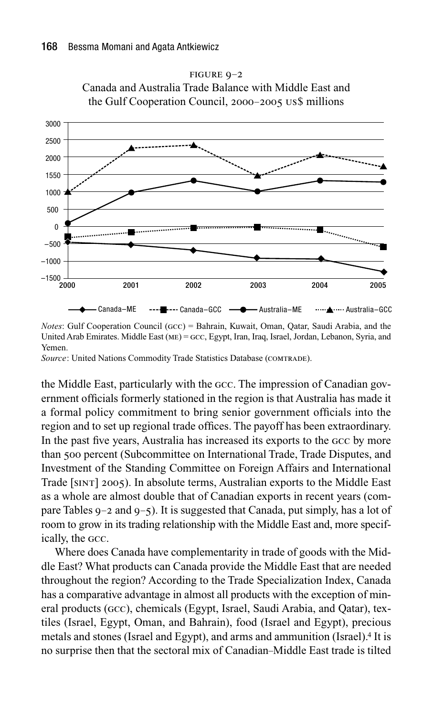



*Notes*: Gulf Cooperation Council (GCC) = Bahrain, Kuwait, Oman, Qatar, Saudi Arabia, and the United Arab Emirates. Middle East (me) = gcc, Egypt, Iran, Iraq, Israel, Jordan, Lebanon, Syria, and Yemen.

Source: United Nations Commodity Trade Statistics Database (COMTRADE).

the Middle East, particularly with the gcc. The impression of Canadian government officials formerly stationed in the region is that Australia has made it a formal policy commitment to bring senior government officials into the region and to set up regional trade offices. The payoff has been extraordinary. In the past five years, Australia has increased its exports to the gcc by more than 500 percent (Subcommittee on International Trade, Trade Disputes, and Investment of the Standing Committee on Foreign Affairs and International Trade [sint] 2005). In absolute terms, Australian exports to the Middle East as a whole are almost double that of Canadian exports in recent years (compare Tables  $9-2$  and  $9-5$ ). It is suggested that Canada, put simply, has a lot of room to grow in its trading relationship with the Middle East and, more specifically, the gcc.

Where does Canada have complementarity in trade of goods with the Middle East? What products can Canada provide the Middle East that are needed throughout the region? According to the Trade Specialization Index, Canada has a comparative advantage in almost all products with the exception of mineral products (gcc), chemicals (Egypt, Israel, Saudi Arabia, and Qatar), textiles (Israel, Egypt, Oman, and Bahrain), food (Israel and Egypt), precious metals and stones (Israel and Egypt), and arms and ammunition (Israel)[.4](#page--1-0) It is no surprise then that the sectoral mix of Canadian– Middle East trade is tilted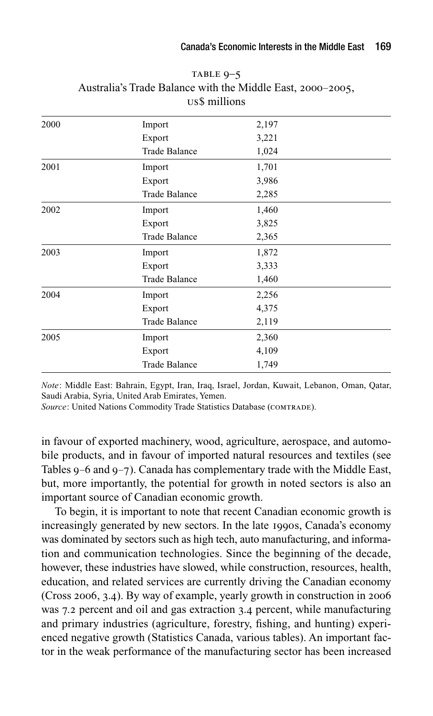| 2000 | Import               | 2,197 |  |
|------|----------------------|-------|--|
|      | Export               | 3,221 |  |
|      | <b>Trade Balance</b> | 1,024 |  |
| 2001 | Import               | 1,701 |  |
|      | Export               | 3,986 |  |
|      | Trade Balance        | 2,285 |  |
| 2002 | Import               | 1,460 |  |
|      | Export               | 3,825 |  |
|      | <b>Trade Balance</b> | 2,365 |  |
| 2003 | Import               | 1,872 |  |
|      | Export               | 3,333 |  |
|      | Trade Balance        | 1,460 |  |
| 2004 | Import               | 2,256 |  |
|      | Export               | 4,375 |  |
|      | <b>Trade Balance</b> | 2,119 |  |
| 2005 | Import               | 2,360 |  |
|      | Export               | 4,109 |  |
|      | Trade Balance        | 1,749 |  |
|      |                      |       |  |

### TABLE 9-5 Australia's Trade Balance with the Middle East, 2000-2005, us\$ millions

*Note*: Middle East: Bahrain, Egypt, Iran, Iraq, Israel, Jordan, Kuwait, Lebanon, Oman, Qatar, Saudi Arabia, Syria, United Arab Emirates, Yemen.

*Source*: United Nations Commodity Trade Statistics Database (COMTRADE).

in favour of exported machinery, wood, agriculture, aerospace, and automobile products, and in favour of imported natural resources and textiles (see Tables  $9-6$  and  $9-7$ ). Canada has complementary trade with the Middle East, but, more importantly, the potential for growth in noted sectors is also an important source of Canadian economic growth.

To begin, it is important to note that recent Canadian economic growth is increasingly generated by new sectors. In the late 1990s, Canada's economy was dominated by sectors such as high tech, auto manufacturing, and information and communication technologies. Since the beginning of the decade, however, these industries have slowed, while construction, resources, health, education, and related services are currently driving the Canadian economy (Cross 2006, 3.4). By way of example, yearly growth in construction in 2006 was 7.2 percent and oil and gas extraction 3.4 percent, while manufacturing and primary industries (agriculture, forestry, fishing, and hunting) experienced negative growth (Statistics Canada, various tables). An important factor in the weak performance of the manufacturing sector has been increased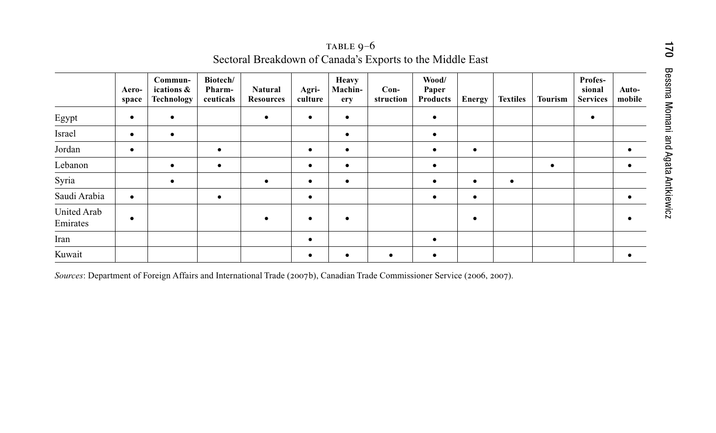Control Breakdown of Canada's Exports to the Middle East<br>
Aero-Commun-Biotech/<br>
Profes-<br>
Facebook Pharm-Natural Agri-Hachin- Con-Paper<br>
Feather of Technology equiticals Resources entire ery struction Products Energy Textil Emirates $\mathsf{s}$  , and  $\mathsf{e}$  , and  $\mathsf{e}$  , and  $\mathsf{e}$  , and  $\mathsf{e}$  , and  $\mathsf{e}$  , and  $\mathsf{e}$  , and  $\mathsf{e}$ Iran • •Kuwait ••• • •

*Sources*: Department of Foreign Affairs and International Trade (2007b), Canadian Trade Commissioner Service (2006, 2007).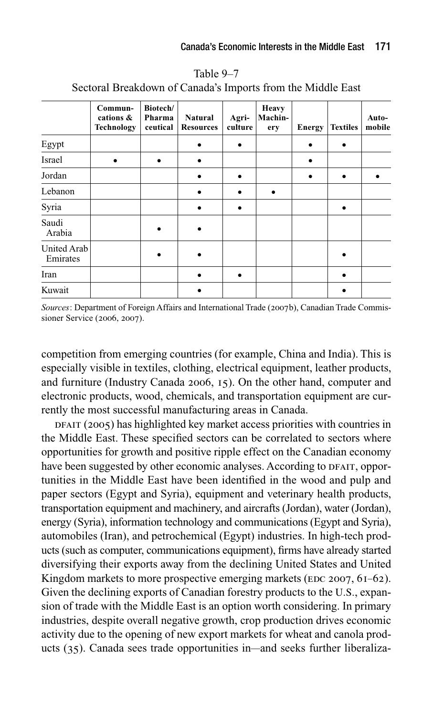|                         | Commun-<br>cations &<br>Technology | Biotech/<br>Pharma<br>ceutical | <b>Natural</b><br><b>Resources</b> | Agri-<br>culture | Heavy<br>Machin-<br>ery | <b>Energy</b> | <b>Textiles</b> | Auto-<br>mobile |
|-------------------------|------------------------------------|--------------------------------|------------------------------------|------------------|-------------------------|---------------|-----------------|-----------------|
| Egypt                   |                                    |                                |                                    |                  |                         |               |                 |                 |
| Israel                  |                                    |                                |                                    |                  |                         |               |                 |                 |
| Jordan                  |                                    |                                |                                    |                  |                         |               | $\bullet$       |                 |
| Lebanon                 |                                    |                                |                                    |                  |                         |               |                 |                 |
| Syria                   |                                    |                                |                                    | ٠                |                         |               | $\bullet$       |                 |
| Saudi<br>Arabia         |                                    |                                |                                    |                  |                         |               |                 |                 |
| United Arab<br>Emirates |                                    |                                |                                    |                  |                         |               |                 |                 |
| Iran                    |                                    |                                |                                    |                  |                         |               |                 |                 |
| Kuwait                  |                                    |                                |                                    |                  |                         |               |                 |                 |

Table 9-7 Sectoral Breakdown of Canada's Imports from the Middle East

*Sources*: Department of Foreign Affairs and International Trade (2007b), Canadian Trade Commissioner Service (2006, 2007).

competition from emerging countries (for example, China and India). This is especially visible in textiles, clothing, electrical equipment, leather products, and furniture (Industry Canada 2006, 15). On the other hand, computer and electronic products, wood, chemicals, and transportation equipment are currently the most successful manufacturing areas in Canada.

 $DFAIT (2005)$  has highlighted key market access priorities with countries in the Middle East. These specified sectors can be correlated to sectors where opportunities for growth and positive ripple effect on the Canadian economy have been suggested by other economic analyses. According to DFAIT, opportunities in the Middle East have been identified in the wood and pulp and paper sectors (Egypt and Syria), equipment and veterinary health products, transportation equipment and machinery, and aircrafts (Jordan), water (Jordan), energy (Syria), information technology and communications (Egypt and Syria), automobiles (Iran), and petrochemical (Egypt) industries. In high-tech products (such as computer, communications equipment), firms have already started diversifying their exports away from the declining United States and United Kingdom markets to more prospective emerging markets (EDC 2007,  $61-62$ ). Given the declining exports of Canadian forestry products to the U.S., expansion of trade with the Middle East is an option worth considering. In primary industries, despite overall negative growth, crop production drives economic activity due to the opening of new export markets for wheat and canola products (35). Canada sees trade opportunities in—and seeks further liberaliza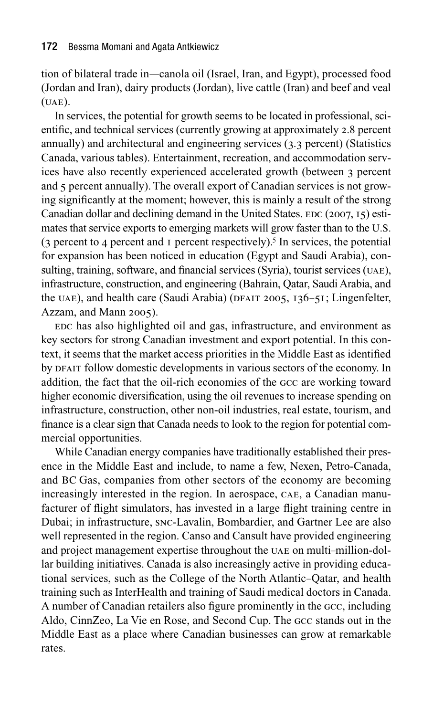tion of bilateral trade in—canola oil (Israel, Iran, and Egypt), processed food (Jordan and Iran), dairy products (Jordan), live cattle (Iran) and beef and veal  $(UAE)$ .

In services, the potential for growth seems to be located in professional, scientific, and technical services (currently growing at approximately 2.8 percent annually) and architectural and engineering services (3.3 percent) (Statistics Canada, various tables). Entertainment, recreation, and accommodation services have also recently experienced accelerated growth (between 3 percent and 5 percent annually). The overall export of Canadian services is not growing significantly at the moment; however, this is mainly a result of the strong Canadian dollar and declining demand in the United States.  $EDC (2007, 15)$  estimates that service exports to emerging markets will grow faster than to the U.S.  $(3$  percent to 4 percent and 1 percent respectively).<sup>5</sup> In services, the potential for expansion has been noticed in education (Egypt and Saudi Arabia), consulting, training, software, and financial services (Syria), tourist services (uae), infrastructure, construction, and engineering (Bahrain, Qatar, Saudi Arabia, and the UAE), and health care (Saudi Arabia) (DFAIT 2005, 136–51; Lingenfelter, Azzam, and Mann 2005).

EDC has also highlighted oil and gas, infrastructure, and environment as key sectors for strong Canadian investment and export potential. In this context, it seems that the market access priorities in the Middle East as identified by DFAIT follow domestic developments in various sectors of the economy. In addition, the fact that the oil-rich economies of the gcc are working toward higher economic diversification, using the oil revenues to increase spending on infrastructure, construction, other non-oil industries, real estate, tourism, and finance is a clear sign that Canada needs to look to the region for potential commercial opportunities.

While Canadian energy companies have traditionally established their presence in the Middle East and include, to name a few, Nexen, Petro-Canada, and BC Gas, companies from other sectors of the economy are becoming increasingly interested in the region. In aerospace, CAE, a Canadian manufacturer of flight simulators, has invested in a large flight training centre in Dubai; in infrastructure, snc-Lavalin, Bombardier, and Gartner Lee are also well represented in the region. Canso and Cansult have provided engineering and project management expertise throughout the uae on multi–million-dollar building initiatives. Canada is also increasingly active in providing educational services, such as the College of the North Atlantic– Qatar, and health training such as InterHealth and training of Saudi medical doctors in Canada. A number of Canadian retailers also figure prominently in the gcc, including Aldo, CinnZeo, La Vie en Rose, and Second Cup. The gcc stands out in the Middle East as a place where Canadian businesses can grow at remarkable rates.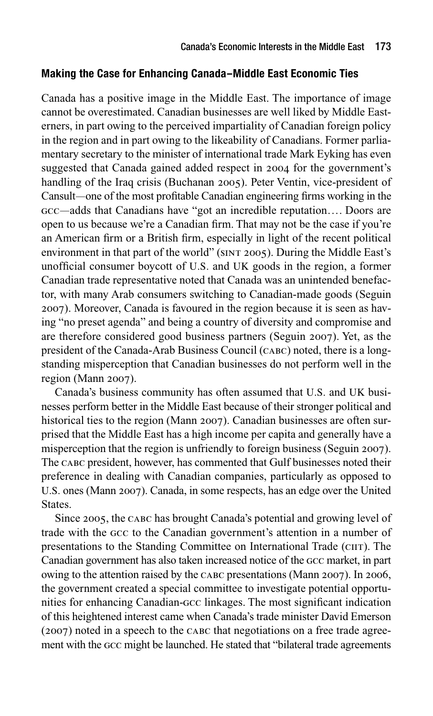### **Making the Case for Enhancing Canada–Middle East Economic Ties**

Canada has a positive image in the Middle East. The importance of image cannot be overestimated. Canadian businesses are well liked by Middle Easterners, in part owing to the perceived impartiality of Canadian foreign policy in the region and in part owing to the likeability of Canadians. Former parliamentary secretary to the minister of international trade Mark Eyking has even suggested that Canada gained added respect in 2004 for the government's handling of the Iraq crisis (Buchanan 2005). Peter Ventin, vice-president of Cansult—one of the most profitable Canadian engineering firms working in the gcc—adds that Canadians have "got an incredible reputation.… Doors are open to us because we're a Canadian firm. That may not be the case if you're an American firm or a British firm, especially in light of the recent political environment in that part of the world" (SINT 2005). During the Middle East's unofficial consumer boycott of U.S. and UK goods in the region, a former Canadian trade representative noted that Canada was an unintended benefactor, with many Arab consumers switching to Canadian-made goods (Seguin 2007). Moreover, Canada is favoured in the region because it is seen as having "no preset agenda" and being a country of diversity and compromise and are therefore considered good business partners (Seguin 2007). Yet, as the president of the Canada-Arab Business Council (cabc) noted, there is a longstanding misperception that Canadian businesses do not perform well in the region (Mann 2007).

Canada's business community has often assumed that U.S. and UK businesses perform better in the Middle East because of their stronger political and historical ties to the region (Mann 2007). Canadian businesses are often surprised that the Middle East has a high income per capita and generally have a misperception that the region is unfriendly to foreign business (Seguin 2007). The cabc president, however, has commented that Gulf businesses noted their preference in dealing with Canadian companies, particularly as opposed to U.S. ones (Mann 2007). Canada, in some respects, has an edge over the United States.

Since 2005, the CABC has brought Canada's potential and growing level of trade with the gcc to the Canadian government's attention in a number of presentations to the Standing Committee on International Trade (CIIT). The Canadian government has also taken increased notice of the gcc market, in part owing to the attention raised by the cabc presentations (Mann 2007). In 2006, the government created a special committee to investigate potential opportunities for enhancing Canadian-gcc linkages. The most significant indication of this heightened interest came when Canada's trade minister David Emerson (2007) noted in a speech to the cabc that negotiations on a free trade agreement with the gcc might be launched. He stated that "bilateral trade agreements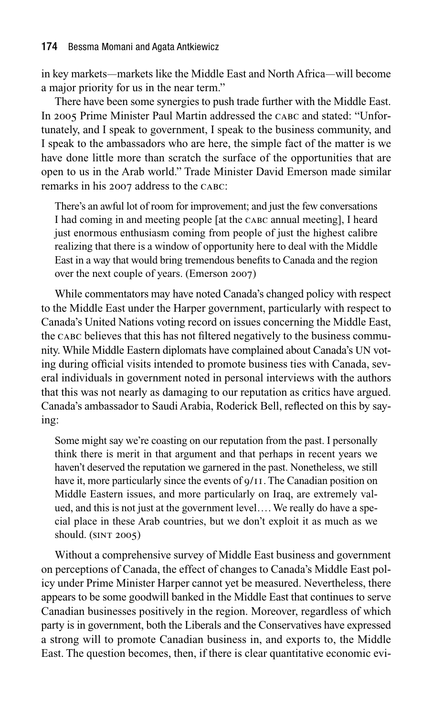in key markets—markets like the Middle East and North Africa—will become a major priority for us in the near term."

There have been some synergies to push trade further with the Middle East. In 2005 Prime Minister Paul Martin addressed the CABC and stated: "Unfortunately, and I speak to government, I speak to the business community, and I speak to the ambassadors who are here, the simple fact of the matter is we have done little more than scratch the surface of the opportunities that are open to us in the Arab world." Trade Minister David Emerson made similar remarks in his 2007 address to the CABC:

There's an awful lot of room for improvement; and just the few conversations I had coming in and meeting people [at the cabc annual meeting], I heard just enormous enthusiasm coming from people of just the highest calibre realizing that there is a window of opportunity here to deal with the Middle East in a way that would bring tremendous benefits to Canada and the region over the next couple of years. (Emerson 2007)

While commentators may have noted Canada's changed policy with respect to the Middle East under the Harper government, particularly with respect to Canada's United Nations voting record on issues concerning the Middle East, the cabc believes that this has not filtered negatively to the business community. While Middle Eastern diplomats have complained about Canada's UN voting during official visits intended to promote business ties with Canada, several individuals in government noted in personal interviews with the authors that this was not nearly as damaging to our reputation as critics have argued. Canada's ambassador to Saudi Arabia, Roderick Bell, reflected on this by saying:

Some might say we're coasting on our reputation from the past. I personally think there is merit in that argument and that perhaps in recent years we haven't deserved the reputation we garnered in the past. Nonetheless, we still have it, more particularly since the events of  $9/11$ . The Canadian position on Middle Eastern issues, and more particularly on Iraq, are extremely valued, and this is not just at the government level.… We really do have a special place in these Arab countries, but we don't exploit it as much as we should. (SINT 2005)

Without a comprehensive survey of Middle East business and government on perceptions of Canada, the effect of changes to Canada's Middle East policy under Prime Minister Harper cannot yet be measured. Nevertheless, there appears to be some goodwill banked in the Middle East that continues to serve Canadian businesses positively in the region. Moreover, regardless of which party is in government, both the Liberals and the Conservatives have expressed a strong will to promote Canadian business in, and exports to, the Middle East. The question becomes, then, if there is clear quantitative economic evi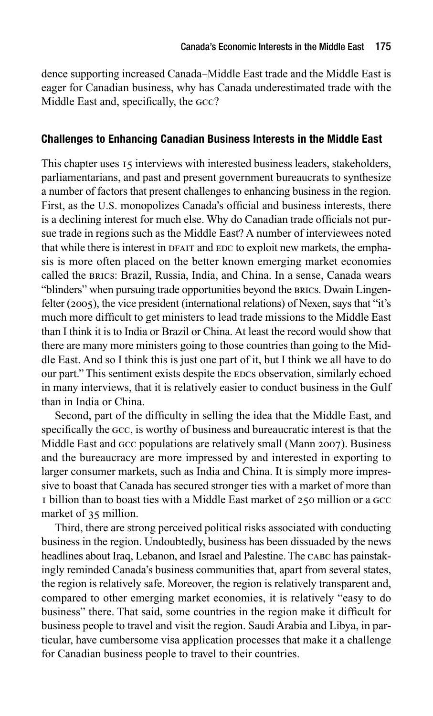dence supporting increased Canada– Middle East trade and the Middle East is eager for Canadian business, why has Canada underestimated trade with the Middle East and, specifically, the GCC?

### **Challenges to Enhancing Canadian Business Interests in the Middle East**

This chapter uses 15 interviews with interested business leaders, stakeholders, parliamentarians, and past and present government bureaucrats to synthesize a number of factors that present challenges to enhancing business in the region. First, as the U.S. monopolizes Canada's official and business interests, there is a declining interest for much else. Why do Canadian trade officials not pursue trade in regions such as the Middle East? A number of interviewees noted that while there is interest in DFAIT and EDC to exploit new markets, the emphasis is more often placed on the better known emerging market economies called the brics: Brazil, Russia, India, and China. In a sense, Canada wears "blinders" when pursuing trade opportunities beyond the BRICS. Dwain Lingenfelter (2005), the vice president (international relations) of Nexen, says that "it's much more difficult to get ministers to lead trade missions to the Middle East than I think it is to India or Brazil or China. At least the record would show that there are many more ministers going to those countries than going to the Middle East. And so I think this is just one part of it, but I think we all have to do our part." This sentiment exists despite the EDCs observation, similarly echoed in many interviews, that it is relatively easier to conduct business in the Gulf than in India or China.

Second, part of the difficulty in selling the idea that the Middle East, and specifically the gcc, is worthy of business and bureaucratic interest is that the Middle East and gcc populations are relatively small (Mann 2007). Business and the bureaucracy are more impressed by and interested in exporting to larger consumer markets, such as India and China. It is simply more impressive to boast that Canada has secured stronger ties with a market of more than 1 billion than to boast ties with a Middle East market of 250 million or a gcc market of 35 million.

Third, there are strong perceived political risks associated with conducting business in the region. Undoubtedly, business has been dissuaded by the news headlines about Iraq, Lebanon, and Israel and Palestine. The CABC has painstakingly reminded Canada's business communities that, apart from several states, the region is relatively safe. Moreover, the region is relatively transparent and, compared to other emerging market economies, it is relatively "easy to do business" there. That said, some countries in the region make it difficult for business people to travel and visit the region. Saudi Arabia and Libya, in particular, have cumbersome visa application processes that make it a challenge for Canadian business people to travel to their countries.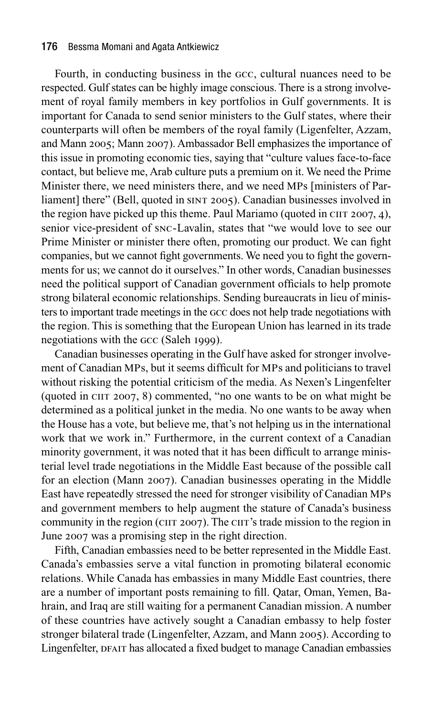Fourth, in conducting business in the gcc, cultural nuances need to be respected. Gulf states can be highly image conscious. There is a strong involvement of royal family members in key portfolios in Gulf governments. It is important for Canada to send senior ministers to the Gulf states, where their counterparts will often be members of the royal family (Ligenfelter, Azzam, and Mann 2005; Mann 2007). Ambassador Bell emphasizes the importance of this issue in promoting economic ties, saying that "culture values face-to-face contact, but believe me, Arab culture puts a premium on it. We need the Prime Minister there, we need ministers there, and we need MPs [ministers of Parliament] there" (Bell, quoted in sint 2005). Canadian businesses involved in the region have picked up this theme. Paul Mariamo (quoted in  $\text{CIT } 2007, 4$ ), senior vice-president of snc-Lavalin, states that "we would love to see our Prime Minister or minister there often, promoting our product. We can fight companies, but we cannot fight governments. We need you to fight the governments for us; we cannot do it ourselves." In other words, Canadian businesses need the political support of Canadian government officials to help promote strong bilateral economic relationships. Sending bureaucrats in lieu of ministers to important trade meetings in the gcc does not help trade negotiations with the region. This is something that the European Union has learned in its trade negotiations with the gcc (Saleh 1999).

Canadian businesses operating in the Gulf have asked for stronger involvement of Canadian MPs, but it seems difficult for MPs and politicians to travel without risking the potential criticism of the media. As Nexen's Lingenfelter (quoted in ciit 2007, 8) commented, "no one wants to be on what might be determined as a political junket in the media. No one wants to be away when the House has a vote, but believe me, that's not helping us in the international work that we work in." Furthermore, in the current context of a Canadian minority government, it was noted that it has been difficult to arrange ministerial level trade negotiations in the Middle East because of the possible call for an election (Mann 2007). Canadian businesses operating in the Middle East have repeatedly stressed the need for stronger visibility of Canadian MPs and government members to help augment the stature of Canada's business community in the region (CIIT 2007). The CIIT's trade mission to the region in June 2007 was a promising step in the right direction.

Fifth, Canadian embassies need to be better represented in the Middle East. Canada's embassies serve a vital function in promoting bilateral economic relations. While Canada has embassies in many Middle East countries, there are a number of important posts remaining to fill. Qatar, Oman, Yemen, Bahrain, and Iraq are still waiting for a permanent Canadian mission. A number of these countries have actively sought a Canadian embassy to help foster stronger bilateral trade (Lingenfelter, Azzam, and Mann 2005). According to Lingenfelter, DFAIT has allocated a fixed budget to manage Canadian embassies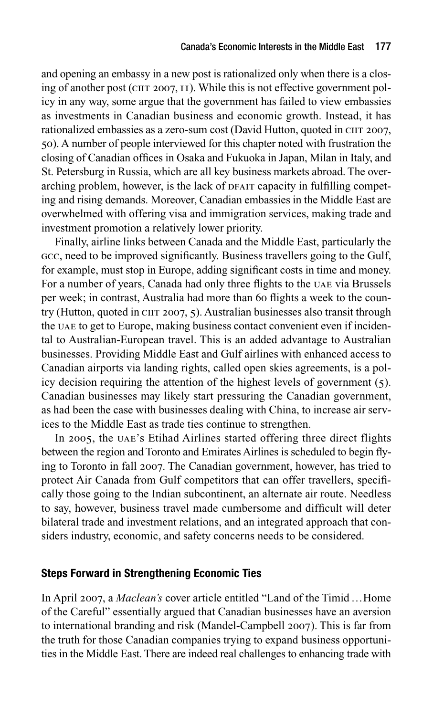and opening an embassy in a new post is rationalized only when there is a closing of another post (CIIT 2007, 11). While this is not effective government policy in any way, some argue that the government has failed to view embassies as investments in Canadian business and economic growth. Instead, it has rationalized embassies as a zero-sum cost (David Hutton, quoted in CIIT 2007, 50). A number of people interviewed for this chapter noted with frustration the closing of Canadian offices in Osaka and Fukuoka in Japan, Milan in Italy, and St. Petersburg in Russia, which are all key business markets abroad. The overarching problem, however, is the lack of DFAIT capacity in fulfilling competing and rising demands. Moreover, Canadian embassies in the Middle East are overwhelmed with offering visa and immigration services, making trade and investment promotion a relatively lower priority.

Finally, airline links between Canada and the Middle East, particularly the gcc, need to be improved significantly. Business travellers going to the Gulf, for example, must stop in Europe, adding significant costs in time and money. For a number of years, Canada had only three flights to the uae via Brussels per week; in contrast, Australia had more than 60 flights a week to the country (Hutton, quoted in  $\text{CUT } 2007, 5$ ). Australian businesses also transit through the uae to get to Europe, making business contact convenient even if incidental to Australian-European travel. This is an added advantage to Australian businesses. Providing Middle East and Gulf airlines with enhanced access to Canadian airports via landing rights, called open skies agreements, is a policy decision requiring the attention of the highest levels of government (5). Canadian businesses may likely start pressuring the Canadian government, as had been the case with businesses dealing with China, to increase air services to the Middle East as trade ties continue to strengthen.

In 2005, the uae's Etihad Airlines started offering three direct flights between the region and Toronto and Emirates Airlines is scheduled to begin flying to Toronto in fall 2007. The Canadian government, however, has tried to protect Air Canada from Gulf competitors that can offer travellers, specifically those going to the Indian subcontinent, an alternate air route. Needless to say, however, business travel made cumbersome and difficult will deter bilateral trade and investment relations, and an integrated approach that considers industry, economic, and safety concerns needs to be considered.

#### **Steps Forward in Strengthening Economic Ties**

In April 2007, a *Maclean's* cover article entitled "Land of the Timid …Home of the Careful" essentially argued that Canadian businesses have an aversion to international branding and risk (Mandel-Campbell 2007). This is far from the truth for those Canadian companies trying to expand business opportunities in the Middle East. There are indeed real challenges to enhancing trade with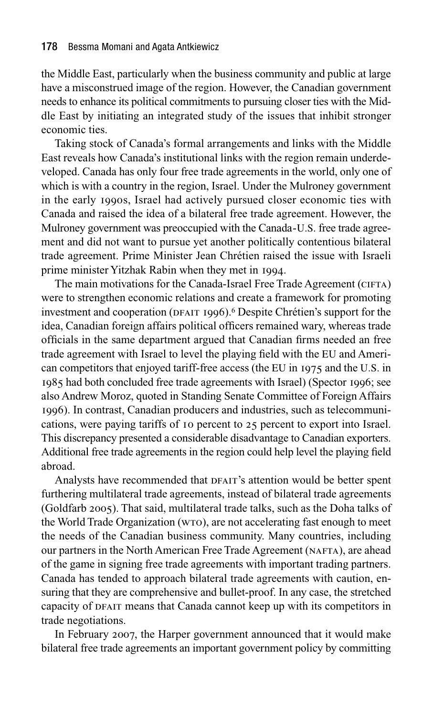the Middle East, particularly when the business community and public at large have a misconstrued image of the region. However, the Canadian government needs to enhance its political commitments to pursuing closer ties with the Middle East by initiating an integrated study of the issues that inhibit stronger economic ties.

Taking stock of Canada's formal arrangements and links with the Middle East reveals how Canada's institutional links with the region remain underdeveloped. Canada has only four free trade agreements in the world, only one of which is with a country in the region, Israel. Under the Mulroney government in the early 1990s, Israel had actively pursued closer economic ties with Canada and raised the idea of a bilateral free trade agreement. However, the Mulroney government was preoccupied with the Canada-U.S. free trade agreement and did not want to pursue yet another politically contentious bilateral trade agreement. Prime Minister Jean Chrétien raised the issue with Israeli prime minister Yitzhak Rabin when they met in 1994.

The main motivations for the Canada-Israel Free Trade Agreement (CIFTA) were to strengthen economic relations and create a framework for promoting investment and cooperation (DFAIT 1996).<sup>6</sup> Despite Chrétien's support for the idea, Canadian foreign affairs political officers remained wary, whereas trade officials in the same department argued that Canadian firms needed an free trade agreement with Israel to level the playing field with the EU and American competitors that enjoyed tariff-free access (the EU in 1975 and the U.S. in 1985 had both concluded free trade agreements with Israel) (Spector 1996; see also Andrew Moroz, quoted in Standing Senate Committee of Foreign Affairs 1996). In contrast, Canadian producers and industries, such as telecommunications, were paying tariffs of 10 percent to 25 percent to export into Israel. This discrepancy presented a considerable disadvantage to Canadian exporters. Additional free trade agreements in the region could help level the playing field abroad.

Analysts have recommended that DFAIT's attention would be better spent furthering multilateral trade agreements, instead of bilateral trade agreements (Goldfarb 2005). That said, multilateral trade talks, such as the Doha talks of the World Trade Organization (wto), are not accelerating fast enough to meet the needs of the Canadian business community. Many countries, including our partners in the North American Free Trade Agreement (NAFTA), are ahead of the game in signing free trade agreements with important trading partners. Canada has tended to approach bilateral trade agreements with caution, ensuring that they are comprehensive and bullet-proof. In any case, the stretched capacity of DFAIT means that Canada cannot keep up with its competitors in trade negotiations.

In February 2007, the Harper government announced that it would make bilateral free trade agreements an important government policy by committing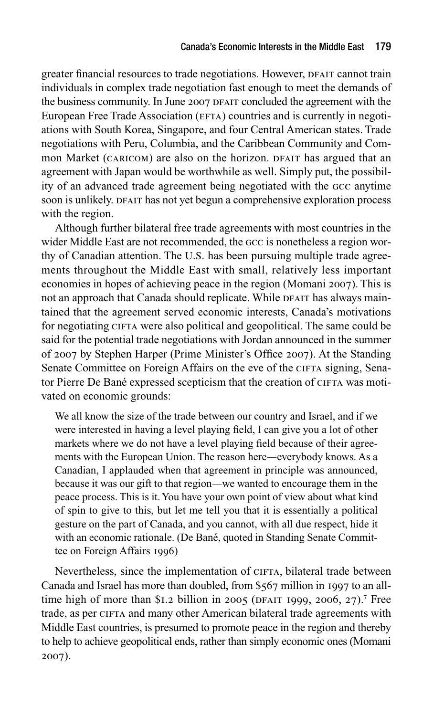greater financial resources to trade negotiations. However, DFAIT cannot train individuals in complex trade negotiation fast enough to meet the demands of the business community. In June 2007 DFAIT concluded the agreement with the European Free Trade Association (EFTA) countries and is currently in negotiations with South Korea, Singapore, and four Central American states. Trade negotiations with Peru, Columbia, and the Caribbean Community and Common Market (CARICOM) are also on the horizon. DFAIT has argued that an agreement with Japan would be worthwhile as well. Simply put, the possibility of an advanced trade agreement being negotiated with the gcc anytime soon is unlikely. DFAIT has not yet begun a comprehensive exploration process with the region.

Although further bilateral free trade agreements with most countries in the wider Middle East are not recommended, the gcc is nonetheless a region worthy of Canadian attention. The U.S. has been pursuing multiple trade agreements throughout the Middle East with small, relatively less important economies in hopes of achieving peace in the region (Momani 2007). This is not an approach that Canada should replicate. While DFAIT has always maintained that the agreement served economic interests, Canada's motivations for negotiating CIFTA were also political and geopolitical. The same could be said for the potential trade negotiations with Jordan announced in the summer of 2007 by Stephen Harper (Prime Minister's Office 2007). At the Standing Senate Committee on Foreign Affairs on the eve of the CIFTA signing, Senator Pierre De Bané expressed scepticism that the creation of CIFTA was motivated on economic grounds:

We all know the size of the trade between our country and Israel, and if we were interested in having a level playing field, I can give you a lot of other markets where we do not have a level playing field because of their agreements with the European Union. The reason here—everybody knows. As a Canadian, I applauded when that agreement in principle was announced, because it was our gift to that region—we wanted to encourage them in the peace process. This is it. You have your own point of view about what kind of spin to give to this, but let me tell you that it is essentially a political gesture on the part of Canada, and you cannot, with all due respect, hide it with an economic rationale. (De Bané, quoted in Standing Senate Committee on Foreign Affairs 1996)

Nevertheless, since the implementation of CIFTA, bilateral trade between Canada and Israel has more than doubled, from \$567 million in 1997 to an alltime high of more than  $\S$ 1.2 billion in 2005 (DFAIT 1999, 2006, 27).<sup>7</sup> Free trade, as per CIFTA and many other American bilateral trade agreements with Middle East countries, is presumed to promote peace in the region and thereby to help to achieve geopolitical ends, rather than simply economic ones (Momani 2007).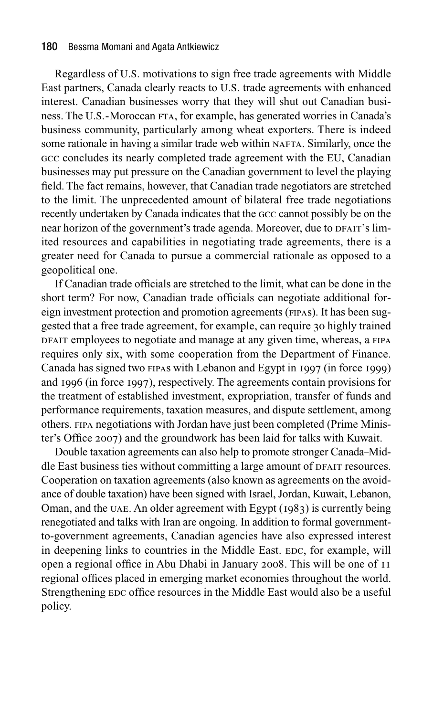Regardless of U.S. motivations to sign free trade agreements with Middle East partners, Canada clearly reacts to U.S. trade agreements with enhanced interest. Canadian businesses worry that they will shut out Canadian business. The U.S.-Moroccan FTA, for example, has generated worries in Canada's business community, particularly among wheat exporters. There is indeed some rationale in having a similar trade web within NAFTA. Similarly, once the gcc concludes its nearly completed trade agreement with the EU, Canadian businesses may put pressure on the Canadian government to level the playing field. The fact remains, however, that Canadian trade negotiators are stretched to the limit. The unprecedented amount of bilateral free trade negotiations recently undertaken by Canada indicates that the gcc cannot possibly be on the near horizon of the government's trade agenda. Moreover, due to DFAIT's limited resources and capabilities in negotiating trade agreements, there is a greater need for Canada to pursue a commercial rationale as opposed to a geopolitical one.

If Canadian trade officials are stretched to the limit, what can be done in the short term? For now, Canadian trade officials can negotiate additional foreign investment protection and promotion agreements (FIPAS). It has been suggested that a free trade agreement, for example, can require 30 highly trained DFAIT employees to negotiate and manage at any given time, whereas, a FIPA requires only six, with some cooperation from the Department of Finance. Canada has signed two FIPAS with Lebanon and Egypt in 1997 (in force 1999) and 1996 (in force 1997), respectively. The agreements contain provisions for the treatment of established investment, expropriation, transfer of funds and performance requirements, taxation measures, and dispute settlement, among others. fipa negotiations with Jordan have just been completed (Prime Minister's Office 2007) and the groundwork has been laid for talks with Kuwait.

Double taxation agreements can also help to promote stronger Canada–Middle East business ties without committing a large amount of DFAIT resources. Cooperation on taxation agreements (also known as agreements on the avoidance of double taxation) have been signed with Israel, Jordan, Kuwait, Lebanon, Oman, and the UAE. An older agreement with Egypt (1983) is currently being renegotiated and talks with Iran are ongoing. In addition to formal governmentto-government agreements, Canadian agencies have also expressed interest in deepening links to countries in the Middle East. EDC, for example, will open a regional office in Abu Dhabi in January 2008. This will be one of 11 regional offices placed in emerging market economies throughout the world. Strengthening EDC office resources in the Middle East would also be a useful policy.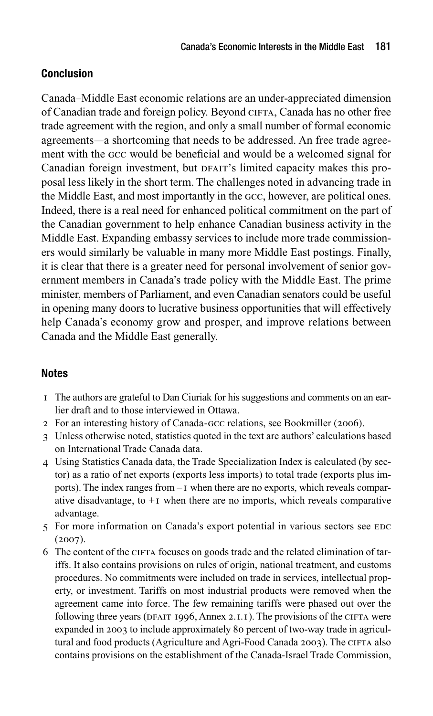## **Conclusion**

Canada– Middle East economic relations are an under-appreciated dimension of Canadian trade and foreign policy. Beyond CIFTA, Canada has no other free trade agreement with the region, and only a small number of formal economic agreements—a shortcoming that needs to be addressed. An free trade agreement with the gcc would be beneficial and would be a welcomed signal for Canadian foreign investment, but DFAIT's limited capacity makes this proposal less likely in the short term. The challenges noted in advancing trade in the Middle East, and most importantly in the gcc, however, are political ones. Indeed, there is a real need for enhanced political commitment on the part of the Canadian government to help enhance Canadian business activity in the Middle East. Expanding embassy services to include more trade commissioners would similarly be valuable in many more Middle East postings. Finally, it is clear that there is a greater need for personal involvement of senior government members in Canada's trade policy with the Middle East. The prime minister, members of Parliament, and even Canadian senators could be useful in opening many doors to lucrative business opportunities that will effectively help Canada's economy grow and prosper, and improve relations between Canada and the Middle East generally.

## **Notes**

- 1 The authors are grateful to Dan Ciuriak for his suggestions and comments on an earlier draft and to those interviewed in Ottawa.
- 2 For an interesting history of Canada-gcc relations, see Bookmiller (2006).
- 3 Unless otherwise noted, statistics quoted in the text are authors' calculations based on International Trade Canada data.
- 4 Using Statistics Canada data, the Trade Specialization Index is calculated (by sector) as a ratio of net exports (exports less imports) to total trade (exports plus imports). The index ranges from  $-I$  when there are no exports, which reveals comparative disadvantage, to  $+1$  when there are no imports, which reveals comparative advantage.
- 5 For more information on Canada's export potential in various sectors see EDC  $(2007).$
- 6 The content of the CIFTA focuses on goods trade and the related elimination of tariffs. It also contains provisions on rules of origin, national treatment, and customs procedures. No commitments were included on trade in services, intellectual property, or investment. Tariffs on most industrial products were removed when the agreement came into force. The few remaining tariffs were phased out over the following three years ( $DFAIT$  1996, Annex 2.1.1). The provisions of the CIFTA were expanded in 2003 to include approximately 80 percent of two-way trade in agricultural and food products (Agriculture and Agri-Food Canada 2003). The CIFTA also contains provisions on the establishment of the Canada-Israel Trade Commission,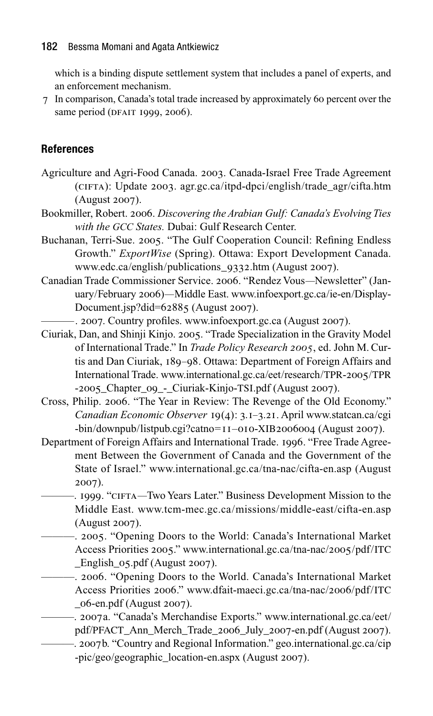which is a binding dispute settlement system that includes a panel of experts, and an enforcement mechanism.

7 In comparison, Canada's total trade increased by approximately 60 percent over the same period (DFAIT 1999, 2006).

## **References**

- Agriculture and Agri-Food Canada. 2003. Canada-Israel Free Trade Agreement (cifta): Update 2003. agr.gc.ca/itpd-dpci/english/trade\_agr/cifta.htm (August 2007).
- Bookmiller, Robert. 2006. *Discovering the Arabian Gulf: Canada's Evolving Ties with the GCC States.* Dubai: Gulf Research Center.
- Buchanan, Terri-Sue. 2005. "The Gulf Cooperation Council: Refining Endless Growth." *ExportWise* (Spring). Ottawa: Export Development Canada. [www.edc.ca/english/publications\\_](www.edc.ca/english/publications_9332.htm)9332.htm (August 2007).
- Canadian Trade Commissioner Service. 2006. "Rendez Vous—Newsletter" (January/February 2006)—Middle East. [www.infoexport.gc.ca/ie-en/Display-](www.infoexport.gc.ca/ie-en/Display-Document.jsp?did=62885)[Document.jsp?did=](www.infoexport.gc.ca/ie-en/Display-Document.jsp?did=62885)62885 (August 2007).

———. 2007. Country profiles.<www.infoexport.gc.ca> (August 2007).

- Ciuriak, Dan, and Shinji Kinjo. 2005. "Trade Specialization in the Gravity Model of International Trade." In *Trade Policy Research 2005*, ed. John M. Curtis and Dan Ciuriak, 189–98. Ottawa: Department of Foreign Affairs and International Trade. [www.international.gc.ca/eet/research/](www.international.gc.ca/eet/research/TPR-2005/TPR-2005_Chapter_09_-_Ciuriak-Kinjo-TSI.pdf)TPR-2005/TPR -2005\_Chapter\_09[\\_-\\_Ciuriak-Kinjo-](www.international.gc.ca/eet/research/TPR-2005/TPR-2005_Chapter_09_-_Ciuriak-Kinjo-TSI.pdf)TSI.pdf (August 2007).
- Cross, Philip. 2006. "The Year in Review: The Revenge of the Old Economy." *Canadian Economic Observer* 19(4): 3.1– 3.21. April [www.statcan.ca/cgi](www.statcan.ca/cgi-bin/downpub/listpub.cgi?catno=11%E2%80%93010-XIB2006004) [-bin/downpub/listpub.cgi?catno=](www.statcan.ca/cgi-bin/downpub/listpub.cgi?catno=11%E2%80%93010-XIB2006004)11– 010-XIB2006004 (August 2007).
- Department of Foreign Affairs and International Trade. 1996. "Free Trade Agreement Between the Government of Canada and the Government of the State of Israel." <www.international.gc.ca/tna-nac/cifta-en.asp>(August 2007).
	- ———. 1999. "cifta—Two Years Later." Business Development Mission to the Middle East. <www.tcm-mec.gc.ca/missions/middle-east/cifta-en.asp> (August 2007).
		- ———. 2005. "Opening Doors to the World: Canada's International Market Access Priorities 2005." [www.international.gc.ca/tna-nac/](www.international.gc.ca/tna-nac/2005/pdf/ITC_English_05.pdf)2005/pdf/ITC [\\_English\\_](www.international.gc.ca/tna-nac/2005/pdf/ITC_English_05.pdf)05.pdf (August 2007).

———. 2006. "Opening Doors to the World. Canada's International Market Access Priorities 2006." [www.dfait-maeci.gc.ca/tna-nac/](www.dfait-maeci.gc.ca/tna-nac/2006/pdf/ITC_06-en.pdf)2006/pdf/ITC \_06[-en.pdf](www.dfait-maeci.gc.ca/tna-nac/2006/pdf/ITC_06-en.pdf) (August 2007).

- -. 2007a. "Canada's Merchandise Exports." [www.international.gc.ca/eet/](www.international.gc.ca/eet/pdf/PFACT_Ann_Merch_Trade_2006_July_2007-en.pdf) pdf/PFACT[\\_Ann\\_Merch\\_Trade\\_](www.international.gc.ca/eet/pdf/PFACT_Ann_Merch_Trade_2006_July_2007-en.pdf)2006\_July\_2007-en.pdf (August 2007).
- ———. 2007b. "Country and Regional Information." geo.international.gc.ca/cip -pic/geo/geographic\_location-en.aspx (August 2007).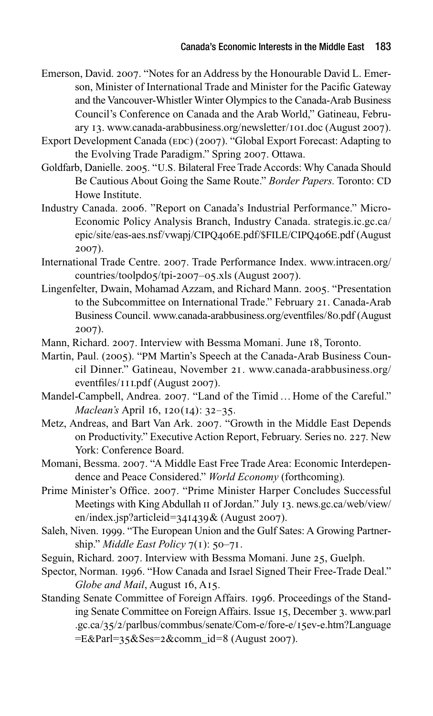- Emerson, David. 2007. "Notes for an Address by the Honourable David L. Emerson, Minister of International Trade and Minister for the Pacific Gateway and the Vancouver-Whistler Winter Olympics to the Canada-Arab Business Council's Conference on Canada and the Arab World," Gatineau, February 13. [www.canada-arabbusiness.org/newsletter/](www.canada-arabbusiness.org/newsletter/101.doc)101.doc (August 2007).
- Export Development Canada (EDC) (2007). "Global Export Forecast: Adapting to the Evolving Trade Paradigm." Spring 2007. Ottawa.
- Goldfarb, Danielle. 2005. "U.S. Bilateral Free Trade Accords: Why Canada Should Be Cautious About Going the Same Route." *Border Papers.* Toronto: CD Howe Institute.
- Industry Canada. 2006. "Report on Canada's Industrial Performance." Micro-Economic Policy Analysis Branch, Industry Canada. strategis.ic.gc.ca/ epic/site/eas-aes.nsf/vwapj/CIPQ406E.pdf/\$FILE/CIPQ406E.pdf (August 2007).
- International Trade Centre. 2007. Trade Performance Index. [www.intracen.org/](www.intracen.org/countries/toolpd05/tpi-2007%E2%80%9305.xls) [countries/toolpd](www.intracen.org/countries/toolpd05/tpi-2007%E2%80%9305.xls)05/tpi-2007-05.xls (August 2007).
- Lingenfelter, Dwain, Mohamad Azzam, and Richard Mann. 2005. "Presentation to the Subcommittee on International Trade." February 21. Canada-Arab Business Council. [www.canada-arabbusiness.org/eventfiles/](www.canada-arabbusiness.org/eventfiles/80.pdf)80.pdf (August 2007).
- Mann, Richard. 2007. Interview with Bessma Momani. June 18, Toronto.
- Martin, Paul. (2005). "PM Martin's Speech at the Canada-Arab Business Council Dinner." Gatineau, November 21. [www.canada-arabbusiness.org/](www.canada-arabbusiness.org/eventfiles/111.pdf) [eventfiles/](www.canada-arabbusiness.org/eventfiles/111.pdf)111.pdf (August 2007).
- Mandel-Campbell, Andrea. 2007. "Land of the Timid … Home of the Careful." *Maclean's* April 16, 120(14): 32-35.
- Metz, Andreas, and Bart Van Ark. 2007. "Growth in the Middle East Depends on Productivity." Executive Action Report, February. Series no. 227. New York: Conference Board.
- Momani, Bessma. 2007. "A Middle East Free Trade Area: Economic Interdependence and Peace Considered." *World Economy* (forthcoming)*.*
- Prime Minister's Office. 2007. "Prime Minister Harper Concludes Successful Meetings with King Abdullah ii of Jordan." July 13. news.gc.ca/web/view/ en/index.jsp?articleid=341439& (August 2007).
- Saleh, Niven. 1999. "The European Union and the Gulf Sates: A Growing Partnership." *Middle East Policy*  $7(1)$ :  $50-71$ .
- Seguin, Richard. 2007. Interview with Bessma Momani. June 25, Guelph.
- Spector, Norman. 1996. "How Canada and Israel Signed Their Free-Trade Deal." *Globe and Mail*, August 16, A15.
- Standing Senate Committee of Foreign Affairs. 1996. Proceedings of the Standing Senate Committee on Foreign Affairs. Issue 15, December 3. [www.parl](www.parl.gc.ca/35/2/parlbus/commbus/senate/Com-e/fore-e/15ev-e.htm?Language=E&Parl=35&Ses=2&comm_id=8) .gc.ca/35/2[/parlbus/commbus/senate/Com-e/fore-e/](www.parl.gc.ca/35/2/parlbus/commbus/senate/Com-e/fore-e/15ev-e.htm?Language=E&Parl=35&Ses=2&comm_id=8)15ev-e.htm?Language  $=E\&Parl=35\&Ses=2\&comm$  id=8 (August 2007).